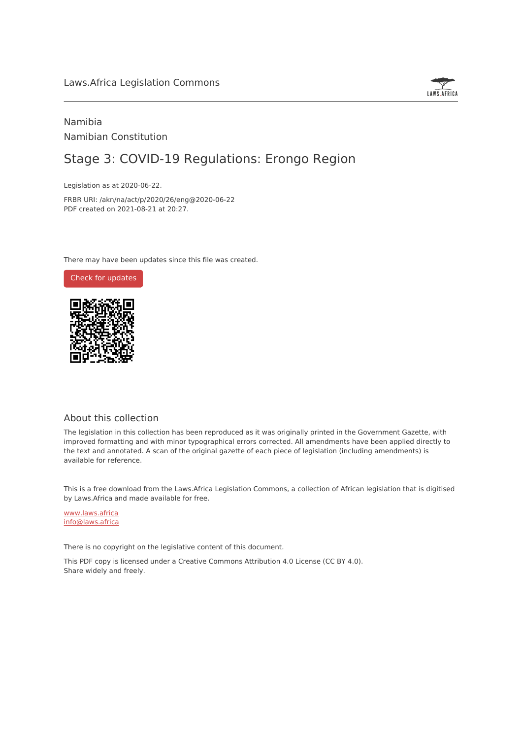

# Namibia Namibian Constitution

# Stage 3: COVID-19 Regulations: Erongo Region

Legislation as at 2020-06-22.

FRBR URI: /akn/na/act/p/2020/26/eng@2020-06-22 PDF created on 2021-08-21 at 20:27.

There may have been updates since this file was created.



# About this collection

The legislation in this collection has been reproduced as it was originally printed in the Government Gazette, with improved formatting and with minor typographical errors corrected. All amendments have been applied directly to the text and annotated. A scan of the original gazette of each piece of legislation (including amendments) is available for reference.

This is a free download from the Laws.Africa Legislation Commons, a collection of African legislation that is digitised by Laws.Africa and made available for free.

[www.laws.africa](https://www.laws.africa) [info@laws.africa](mailto:info@laws.africa)

There is no copyright on the legislative content of this document.

This PDF copy is licensed under a Creative Commons Attribution 4.0 License (CC BY 4.0). Share widely and freely.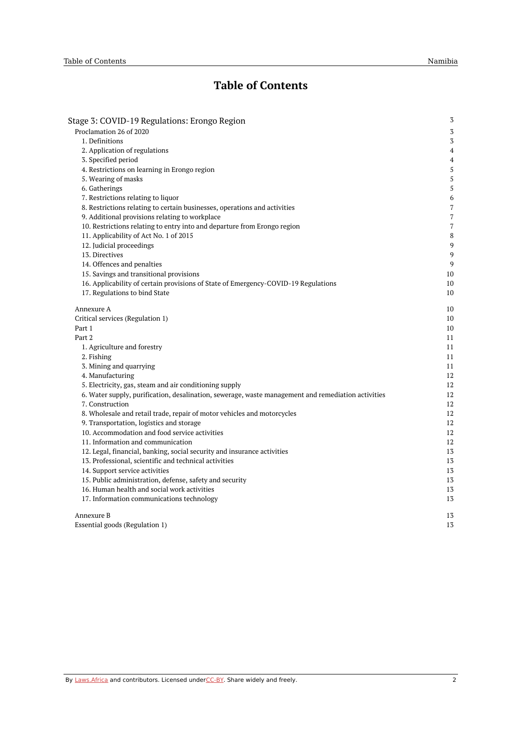# **Table of Contents**

| Stage 3: COVID-19 Regulations: Erongo Region                                                       | $\sqrt{3}$     |
|----------------------------------------------------------------------------------------------------|----------------|
| Proclamation 26 of 2020                                                                            | 3              |
| 1. Definitions                                                                                     | 3              |
| 2. Application of regulations                                                                      | 4              |
| 3. Specified period                                                                                | $\overline{4}$ |
| 4. Restrictions on learning in Erongo region                                                       | 5              |
| 5. Wearing of masks                                                                                | 5              |
| 6. Gatherings                                                                                      | 5              |
| 7. Restrictions relating to liquor                                                                 | 6              |
| 8. Restrictions relating to certain businesses, operations and activities                          | $\overline{7}$ |
| 9. Additional provisions relating to workplace                                                     | 7              |
| 10. Restrictions relating to entry into and departure from Erongo region                           | $\overline{7}$ |
| 11. Applicability of Act No. 1 of 2015                                                             | 8              |
| 12. Judicial proceedings                                                                           | 9              |
| 13. Directives                                                                                     | 9              |
| 14. Offences and penalties                                                                         | 9              |
| 15. Savings and transitional provisions                                                            | 10             |
| 16. Applicability of certain provisions of State of Emergency-COVID-19 Regulations                 | 10             |
| 17. Regulations to bind State                                                                      | 10             |
| Annexure A                                                                                         | 10             |
| Critical services (Regulation 1)                                                                   | 10             |
| Part 1                                                                                             | 10             |
| Part 2                                                                                             | 11             |
| 1. Agriculture and forestry                                                                        | 11             |
| 2. Fishing                                                                                         | 11             |
| 3. Mining and quarrying                                                                            | 11             |
| 4. Manufacturing                                                                                   | 12             |
| 5. Electricity, gas, steam and air conditioning supply                                             | 12             |
| 6. Water supply, purification, desalination, sewerage, waste management and remediation activities | 12             |
| 7. Construction                                                                                    | 12             |
| 8. Wholesale and retail trade, repair of motor vehicles and motorcycles                            | 12             |
| 9. Transportation, logistics and storage                                                           | 12             |
| 10. Accommodation and food service activities                                                      | 12             |
| 11. Information and communication                                                                  | 12             |
| 12. Legal, financial, banking, social security and insurance activities                            | 13             |
| 13. Professional, scientific and technical activities                                              | 13             |
| 14. Support service activities                                                                     | 13             |
| 15. Public administration, defense, safety and security                                            | 13             |
| 16. Human health and social work activities                                                        | 13             |
| 17. Information communications technology                                                          | 13             |
| Annexure B                                                                                         | 13             |
| Essential goods (Regulation 1)                                                                     | 13             |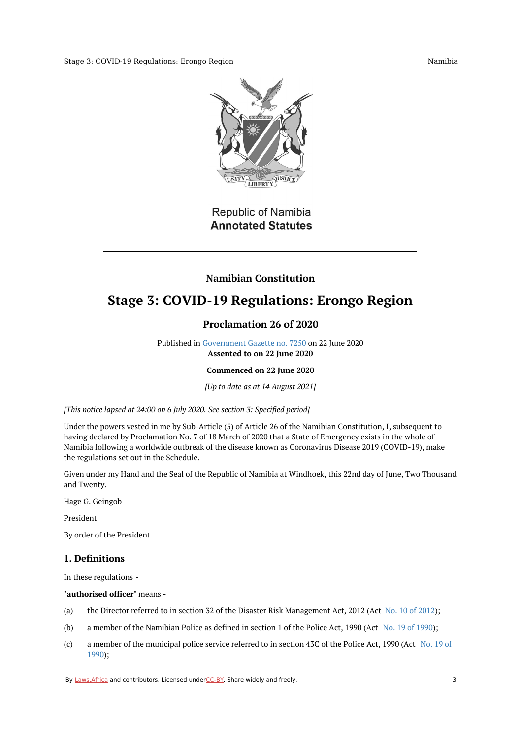

# Republic of Namibia **Annotated Statutes**

# **Namibian Constitution**

# <span id="page-2-1"></span><span id="page-2-0"></span>**Stage 3: COVID-19 Regulations: Erongo Region**

# **Proclamation 26 of 2020**

Published in [Government](https://commons.laws.africa/akn/na/act/p/2020/26/media/publication/na-act-p-2020-26-publication-document.pdf) Gazette no. 7250 on 22 June 2020 **Assented to on 22 June 2020**

## **Commenced on 22 June 2020**

*[Up to date as at 14 August 2021]*

*[This notice lapsed at 24:00 on 6 July 2020. See section 3: Specified period]*

Under the powers vested in me by Sub-Article (5) of Article 26 of the Namibian Constitution, I, subsequent to having declared by Proclamation No. 7 of 18 March of 2020 that a State of Emergency exists in the whole of Namibia following a worldwide outbreak of the disease known as Coronavirus Disease 2019 (COVID-19), make the regulations set out in the Schedule.

Given under my Hand and the Seal of the Republic of Namibia at Windhoek, this 22nd day of June, Two Thousand and Twenty.

Hage G. Geingob

President

By order of the President

# <span id="page-2-2"></span>**1. Definitions**

In these regulations -

#### "**authorised officer**" means -

- (a) the Director referred to in section 32 of the Disaster Risk Management Act, [2012](https://africanlii.org/akn/na/act/2012/10) (Act No. 10 of 2012);
- (b) a member of the Namibian Police as defined in section 1 of the Police Act, 1990 (Act No. 19 of [1990](https://africanlii.org/akn/na/act/1990/19));
- $(c)$ a member of the [municipal](https://africanlii.org/akn/na/act/1990/19) police service referred to in section 43C of the Police Act, 1990 (Act No. 19 of 1990);

By [Laws.Africa](https://edit.laws.africa/widgets/pdf-attribution) and contributors. Licensed und[erCC-B](https://edit.laws.africa/widgets/pdf-cc-by)Y. Share widely and freely. 3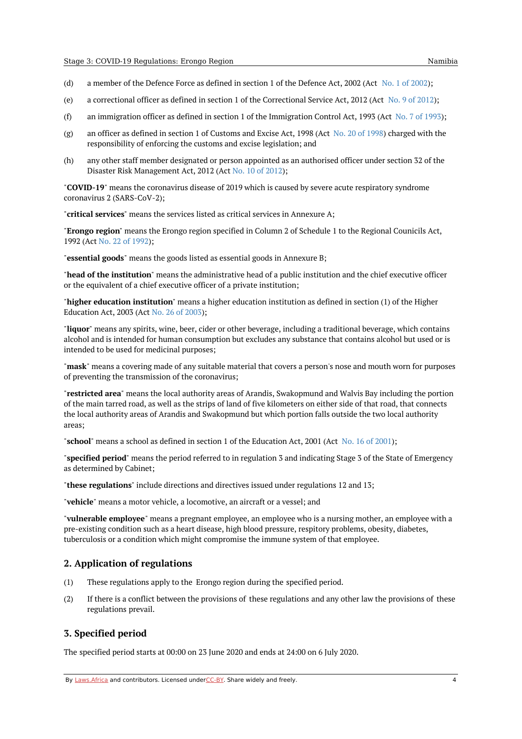- (d) a member of the Defence Force as defined in section 1 of the Defence Act, 2002 (Act No. 1 of [2002](https://africanlii.org/akn/na/act/2002/1));
- (e) a correctional officer as defined in section 1 of the Correctional Service Act, 2012 (Act No. 9 of [2012](https://africanlii.org/akn/na/act/2012/9));
- (f) an immigration officer as defined in section 1 of the Immigration Control Act, 1993 (Act No. 7 of [1993](https://africanlii.org/akn/na/act/1993/7));
- (g) an officer as defined in section 1 of Customs and Excise Act, 1998 (Act No. 20 of [1998](https://africanlii.org/akn/na/act/1998/20)) charged with the responsibility of enforcing the customs and excise legislation; and
- (h) any other staff member designated or person appointed as an authorised officer under section 32 of the Disaster Risk Management Act, 2012 (Act No. 10 of [2012](https://africanlii.org/akn/na/act/2012/10));

"**COVID-19**" means the coronavirus disease of 2019 which is caused by severe acute respiratory syndrome coronavirus 2 (SARS-CoV-2);

"**critical services**" means the services listed as critical services in Annexure A;

"**Erongo region**" means the Erongo region specified in Column 2 of Schedule 1 to the Regional Counicils Act, 1992 (Act No. 22 of [1992](https://africanlii.org/akn/na/act/1992/22));

"**essential goods**" means the goods listed as essential goods in Annexure B;

"**head of the institution**" means the administrative head of a public institution and the chief executive officer or the equivalent of a chief executive officer of a private institution;

"**higher education institution**" means a higher education institution as defined in section (1) of the Higher Education Act, 2003 (Act No. 26 of [2003](https://africanlii.org/akn/na/act/2003/26));

"**liquor**" means any spirits, wine, beer, cider or other beverage, including a traditional beverage, which contains alcohol and is intended for human consumption but excludes any substance that contains alcohol but used or is intended to be used for medicinal purposes;

"**mask**" means a covering made of any suitable material that covers a person's nose and mouth worn for purposes of preventing the transmission of the coronavirus;

"**restricted area**" means the local authority areas of Arandis, Swakopmund and Walvis Bay including the portion of the main tarred road, as well as the strips of land of five kilometers on either side of that road, that connects the local authority areas of Arandis and Swakopmund but which portion falls outside the two local authority areas;

"**school**" means a school as defined in section 1 of the Education Act, 2001 (Act No. 16 of [2001](https://africanlii.org/akn/na/act/2001/16));

"**specified period**" means the period referred to in regulation 3 and indicating Stage 3 of the State of Emergency as determined by Cabinet;

"**these regulations**" include directions and directives issued under regulations 12 and 13;

"**vehicle**" means a motor vehicle, a locomotive, an aircraft or a vessel; and

"**vulnerable employee**" means a pregnant employee, an employee who is a nursing mother, an employee with a pre-existing condition such as a heart disease, high blood pressure, respitory problems, obesity, diabetes, tuberculosis or a condition which might compromise the immune system of that employee.

#### <span id="page-3-0"></span>**2. Application of regulations**

- (1) These regulations apply to the Erongo region during the specified period.
- (2) If there is a conflict between the provisions of these regulations and any other law the provisions of these regulations prevail.

#### <span id="page-3-1"></span>**3. Specified period**

The specified period starts at 00:00 on 23 June 2020 and ends at 24:00 on 6 July 2020.

By [Laws.Africa](https://edit.laws.africa/widgets/pdf-attribution) and contributors. Licensed und[erCC-B](https://edit.laws.africa/widgets/pdf-cc-by)Y. Share widely and freely. 4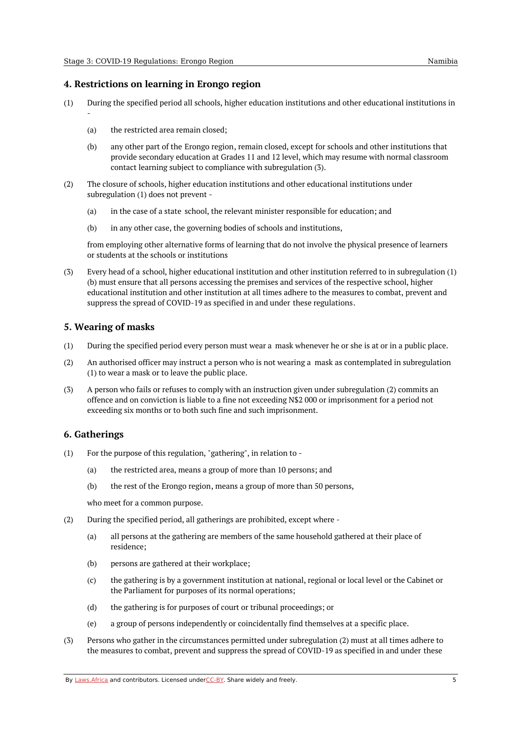# <span id="page-4-0"></span>**4. Restrictions on learning in Erongo region**

- (1) During the specified period all schools, higher education institutions and other educational institutions in
	- (a) the restricted area remain closed;
	- (b) any other part of the Erongo region, remain closed, except for schools and other institutions that provide secondary education at Grades 11 and 12 level, which may resume with normal classroom contact learning subject to compliance with subregulation (3).
- (2) The closure of schools, higher education institutions and other educational institutions under subregulation (1) does not prevent -
	- (a) in the case of a state school, the relevant minister responsible for education; and
	- (b) in any other case, the governing bodies of schools and institutions,

from employing other alternative forms of learning that do not involve the physical presence of learners or students at the schools or institutions

(3) Every head of a school, higher educational institution and other institution referred to in subregulation (1) (b) must ensure that all persons accessing the premises and services of the respective school, higher educational institution and other institution at all times adhere to the measures to combat, prevent and suppress the spread of COVID-19 as specified in and under these regulations.

## <span id="page-4-1"></span>**5. Wearing of masks**

-

- (1) During the specified period every person must wear a mask whenever he or she is at or in a public place.
- (2) An authorised officer may instruct a person who is not wearing a mask as contemplated in subregulation (1) to wear a mask or to leave the public place.
- (3) A person who fails or refuses to comply with an instruction given under subregulation (2) commits an offence and on conviction is liable to a fine not exceeding N\$2 000 or imprisonment for a period not exceeding six months or to both such fine and such imprisonment.

## <span id="page-4-2"></span>**6. Gatherings**

- (1) For the purpose of this regulation, "gathering", in relation to -
	- (a) the restricted area, means a group of more than 10 persons; and
	- (b) the rest of the Erongo region, means a group of more than 50 persons,

who meet for a common purpose.

- (2) During the specified period, all gatherings are prohibited, except where -
	- (a) all persons at the gathering are members of the same household gathered at their place of residence;
	- (b) persons are gathered at their workplace;
	- (c) the gathering is by a government institution at national, regional or local level or the Cabinet or the Parliament for purposes of its normal operations;
	- (d) the gathering is for purposes of court or tribunal proceedings; or
	- (e) a group of persons independently or coincidentally find themselves at a specific place.
- (3) Persons who gather in the circumstances permitted under subregulation (2) must at all times adhere to the measures to combat, prevent and suppress the spread of COVID-19 as specified in and under these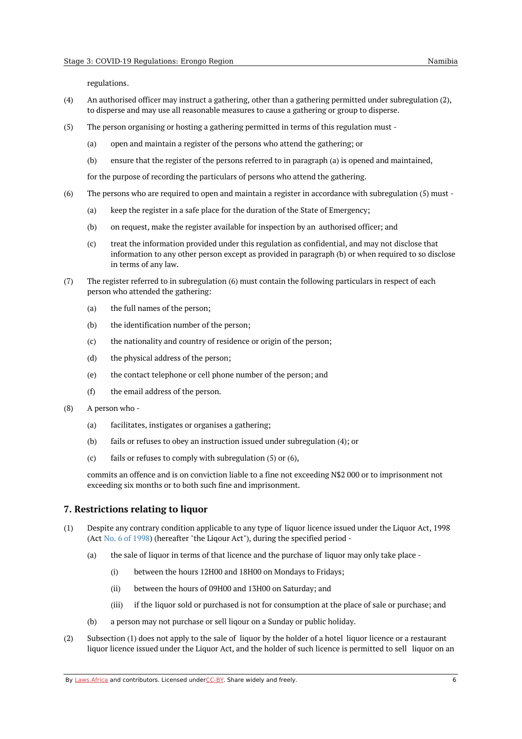regulations.

- (4) An authorised officer may instruct a gathering, other than a gathering permitted under subregulation (2), to disperse and may use all reasonable measures to cause a gathering or group to disperse.
- (5) The person organising or hosting a gathering permitted in terms of this regulation must -
	- (a) open and maintain a register of the persons who attend the gathering; or
	- (b) ensure that the register of the persons referred to in paragraph (a) is opened and maintained,

for the purpose of recording the particulars of persons who attend the gathering.

- (6) The persons who are required to open and maintain a register in accordance with subregulation (5) must -
	- (a) keep the register in a safe place for the duration of the State of Emergency;
	- (b) on request, make the register available for inspection by an authorised officer; and
	- $\left( c \right)$ treat the information provided under this regulation as confidential, and may not disclose that information to any other person except as provided in paragraph (b) or when required to so disclose in terms of any law.
- (7) The register referred to in subregulation (6) must contain the following particulars in respect of each person who attended the gathering:
	- (a) the full names of the person;
	- (b) the identification number of the person;
	- (c) the nationality and country of residence or origin of the person;
	- (d) the physical address of the person;
	- (e) the contact telephone or cell phone number of the person; and
	- (f) the email address of the person.
- (8) A person who -
	- (a) facilitates, instigates or organises a gathering;
	- (b) fails or refuses to obey an instruction issued under subregulation (4); or
	- (c) fails or refuses to comply with subregulation (5) or (6),

commits an offence and is on conviction liable to a fine not exceeding N\$2 000 or to imprisonment not exceeding six months or to both such fine and imprisonment.

#### <span id="page-5-0"></span>**7. Restrictions relating to liquor**

- (1) Despite any contrary condition applicable to any type of liquor licence issued under the Liquor Act, 1998 (Act No. 6 of [1998](https://africanlii.org/akn/na/act/1998/6)) (hereafter "the Liqour Act"), during the specified period -
	- (a) the sale of liquor in terms of that licence and the purchase of liquor may only take place -
		- (i) between the hours 12H00 and 18H00 on Mondays to Fridays;
		- (ii) between the hours of 09H00 and 13H00 on Saturday; and
		- (iii) if the liquor sold or purchased is not for consumption at the place of sale or purchase; and
	- (b) a person may not purchase or sell liqour on a Sunday or public holiday.
- (2) Subsection (1) does not apply to the sale of liquor by the holder of a hotel liquor licence or a restaurant liquor licence issued under the Liquor Act, and the holder of such licence is permitted to sell liquor on an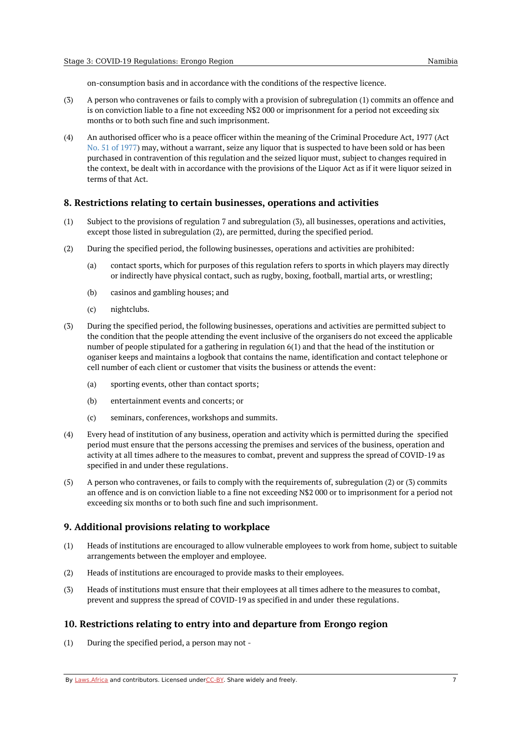on-consumption basis and in accordance with the conditions of the respective licence.

- (3) A person who contravenes or fails to comply with a provision of subregulation (1) commits an offence and is on conviction liable to a fine not exceeding N\$2 000 or imprisonment for a period not exceeding six months or to both such fine and such imprisonment.
- (4) An authorised officer who is a peace officer within the meaning of the Criminal Procedure Act, 1977 (Act No. 51 of [1977](https://africanlii.org/akn/na/act/1977/51)) may, without a warrant, seize any liquor that is suspected to have been sold or has been purchased in contravention of this regulation and the seized liquor must, subject to changes required in the context, be dealt with in accordance with the provisions of the Liquor Act as if it were liquor seized in terms of that Act.

#### <span id="page-6-0"></span>**8. Restrictions relating to certain businesses, operations and activities**

- (1) Subject to the provisions of regulation 7 and subregulation (3), all businesses, operations and activities, except those listed in subregulation (2), are permitted, during the specified period.
- (2) During the specified period, the following businesses, operations and activities are prohibited:
	- (a) contact sports, which for purposes of this regulation refers to sports in which players may directly or indirectly have physical contact, such as rugby, boxing, football, martial arts, or wrestling;
	- (b) casinos and gambling houses; and
	- (c) nightclubs.
- (3) During the specified period, the following businesses, operations and activities are permitted subject to the condition that the people attending the event inclusive of the organisers do not exceed the applicable number of people stipulated for a gathering in regulation 6(1) and that the head of the institution or oganiser keeps and maintains a logbook that contains the name, identification and contact telephone or cell number of each client or customer that visits the business or attends the event:
	- (a) sporting events, other than contact sports;
	- (b) entertainment events and concerts; or
	- (c) seminars, conferences, workshops and summits.
- (4) Every head of institution of any business, operation and activity which is permitted during the specified period must ensure that the persons accessing the premises and services of the business, operation and activity at all times adhere to the measures to combat, prevent and suppress the spread of COVID-19 as specified in and under these regulations.
- (5) A person who contravenes, or fails to comply with the requirements of, subregulation (2) or (3) commits an offence and is on conviction liable to a fine not exceeding N\$2 000 or to imprisonment for a period not exceeding six months or to both such fine and such imprisonment.

## <span id="page-6-1"></span>**9. Additional provisions relating to workplace**

- (1) Heads of institutions are encouraged to allow vulnerable employees to work from home, subject to suitable arrangements between the employer and employee.
- (2) Heads of institutions are encouraged to provide masks to their employees.
- (3) Heads of institutions must ensure that their employees at all times adhere to the measures to combat, prevent and suppress the spread of COVID-19 as specified in and under these regulations.

## <span id="page-6-2"></span>**10. Restrictions relating to entry into and departure from Erongo region**

(1) During the specified period, a person may not -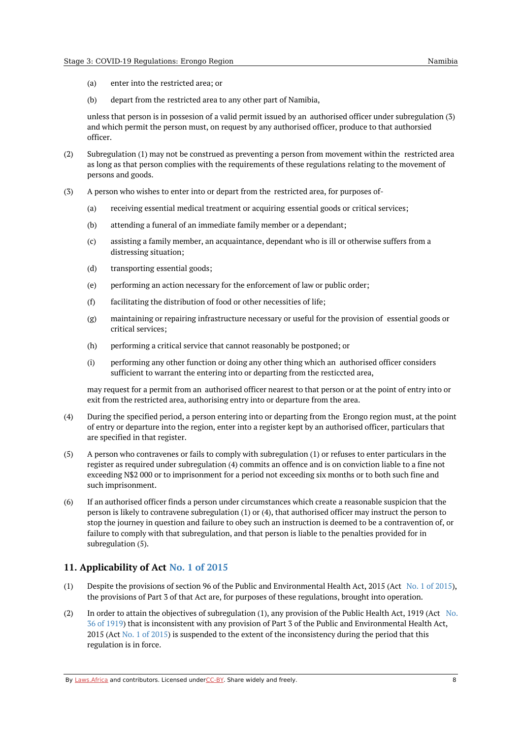- (a) enter into the restricted area; or
- (b) depart from the restricted area to any other part of Namibia,

unless that person is in possesion of a valid permit issued by an authorised officer under subregulation (3) and which permit the person must, on request by any authorised officer, produce to that authorsied officer.

- (2) Subregulation (1) may not be construed as preventing a person from movement within the restricted area as long as that person complies with the requirements of these regulations relating to the movement of persons and goods.
- (3) A person who wishes to enter into or depart from the restricted area, for purposes of-
	- (a) receiving essential medical treatment or acquiring essential goods or critical services;
	- (b) attending a funeral of an immediate family member or a dependant;
	- $(c)$ assisting a family member, an acquaintance, dependant who is ill or otherwise suffers from a distressing situation;
	- (d) transporting essential goods;
	- (e) performing an action necessary for the enforcement of law or public order;
	- (f) facilitating the distribution of food or other necessities of life;
	- (g) maintaining or repairing infrastructure necessary or useful for the provision of essential goods or critical services;
	- (h) performing a critical service that cannot reasonably be postponed; or
	- (i) performing any other function or doing any other thing which an authorised officer considers sufficient to warrant the entering into or departing from the resticcted area,

may request for a permit from an authorised officer nearest to that person or at the point of entry into or exit from the restricted area, authorising entry into or departure from the area.

- (4) During the specified period, a person entering into or departing from the Erongo region must, at the point of entry or departure into the region, enter into a register kept by an authorised officer, particulars that are specified in that register.
- (5) A person who contravenes or fails to comply with subregulation (1) or refuses to enter particulars in the register as required under subregulation (4) commits an offence and is on conviction liable to a fine not exceeding N\$2 000 or to imprisonment for a period not exceeding six months or to both such fine and such imprisonment.
- (6) If an authorised officer finds a person under circumstances which create a reasonable suspicion that the person is likely to contravene subregulation (1) or (4), that authorised officer may instruct the person to stop the journey in question and failure to obey such an instruction is deemed to be a contravention of, or failure to comply with that subregulation, and that person is liable to the penalties provided for in subregulation (5).

# <span id="page-7-0"></span>**11. Applicability of Act No. 1 of [2015](https://africanlii.org/akn/na/act/2015/1)**

- (1) Despite the provisions of section 96 of the Public and Environmental Health Act, 2015 (Act No. 1 of [2015](https://africanlii.org/akn/na/act/2015/1)), the provisions of Part 3 of that Act are, for purposes of these regulations, brought into operation.
- (2) In order to attain the objectives of subregulation (1), any provision of the Public Health Act, 1919 (Act No. 36 of 1919) that is inconsistent with any provision of Part 3 of the Public and [Environmental](https://africanlii.org/akn/na/act/1919/36) Health Act, 2015 (Act No. 1 of [2015](https://africanlii.org/akn/na/act/2015/1)) is suspended to the extent of the inconsistency during the period that this regulation is in force.

By [Laws.Africa](https://edit.laws.africa/widgets/pdf-attribution) and contributors. Licensed und[erCC-B](https://edit.laws.africa/widgets/pdf-cc-by)Y. Share widely and freely. **8** 8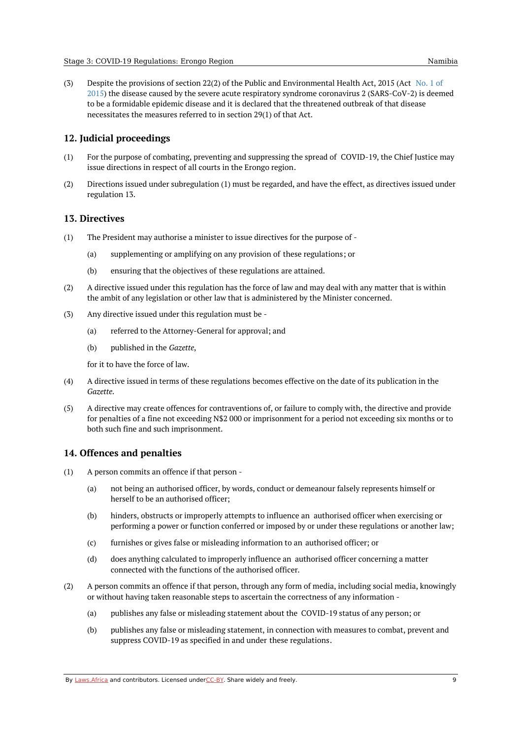(3) Despite the provisions of section 22(2) of the Public and [Environmental](https://africanlii.org/akn/na/act/2015/1) Health Act, 2015 (Act No. 1 of 2015) the disease caused by the severe acute respiratory syndrome coronavirus 2 (SARS-CoV-2) is deemed to be a formidable epidemic disease and it is declared that the threatened outbreak of that disease necessitates the measures referred to in section 29(1) of that Act.

#### <span id="page-8-0"></span>**12. Judicial proceedings**

- (1) For the purpose of combating, preventing and suppressing the spread of COVID-19, the Chief Justice may issue directions in respect of all courts in the Erongo region.
- (2) Directions issued under subregulation (1) must be regarded, and have the effect, as directives issued under regulation 13.

#### <span id="page-8-1"></span>**13. Directives**

- (1) The President may authorise a minister to issue directives for the purpose of -
	- (a) supplementing or amplifying on any provision of these regulations; or
	- (b) ensuring that the objectives of these regulations are attained.
- (2) A directive issued under this regulation has the force of law and may deal with any matter that is within the ambit of any legislation or other law that is administered by the Minister concerned.
- (3) Any directive issued under this regulation must be -
	- (a) referred to the Attorney-General for approval; and
	- (b) published in the *Gazette*,

for it to have the force of law.

- (4) A directive issued in terms of these regulations becomes effective on the date of its publication in the *Gazette*.
- (5) A directive may create offences for contraventions of, or failure to comply with, the directive and provide for penalties of a fine not exceeding N\$2 000 or imprisonment for a period not exceeding six months or to both such fine and such imprisonment.

# <span id="page-8-2"></span>**14. Offences and penalties**

- (1) A person commits an offence if that person -
	- (a) not being an authorised officer, by words, conduct or demeanour falsely represents himself or herself to be an authorised officer;
	- (b) hinders, obstructs or improperly attempts to influence an authorised officer when exercising or performing a power or function conferred or imposed by or under these regulations or another law;
	- (c) furnishes or gives false or misleading information to an authorised officer; or
	- (d) does anything calculated to improperly influence an authorised officer concerning a matter connected with the functions of the authorised officer.
- (2) A person commits an offence if that person, through any form of media, including social media, knowingly or without having taken reasonable steps to ascertain the correctness of any information -
	- (a) publishes any false or misleading statement about the COVID-19 status of any person; or
	- (b) publishes any false or misleading statement, in connection with measures to combat, prevent and suppress COVID-19 as specified in and under these regulations.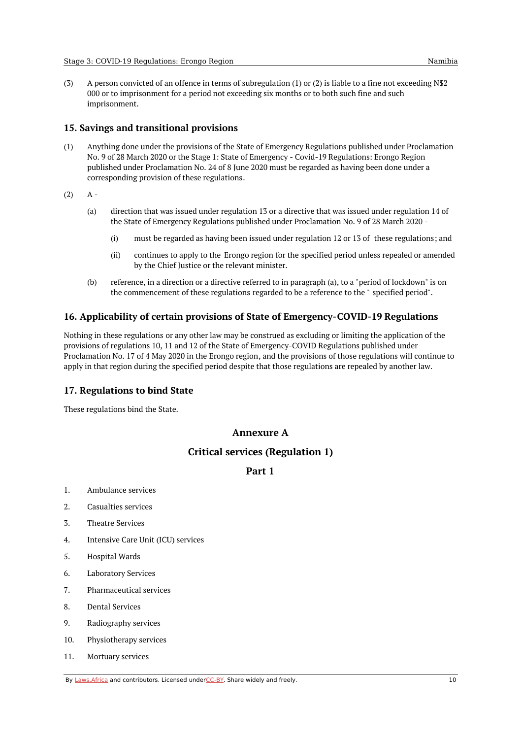(3) A person convicted of an offence in terms of subregulation (1) or (2) is liable to a fine not exceeding N\$2 000 or to imprisonment for a period not exceeding six months or to both such fine and such imprisonment.

# <span id="page-9-0"></span>**15. Savings and transitional provisions**

(1) Anything done under the provisions of the State of Emergency Regulations published under Proclamation No. 9 of 28 March 2020 or the Stage 1: State of Emergency - Covid-19 Regulations: Erongo Region published under Proclamation No. 24 of 8 June 2020 must be regarded as having been done under a corresponding provision of these regulations.

(2)  $A -$ 

- (a) direction that was issued under regulation 13 or a directive that was issued under regulation 14 of the State of Emergency Regulations published under Proclamation No. 9 of 28 March 2020 -
	- (i) must be regarded as having been issued under regulation 12 or 13 of these regulations; and
	- (ii) continues to apply to the Erongo region for the specified period unless repealed or amended by the Chief Justice or the relevant minister.
- (b) reference, in a direction or a directive referred to in paragraph (a), to a "period of lockdown" is on the commencement of these regulations regarded to be a reference to the " specified period".

# <span id="page-9-1"></span>**16. Applicability of certain provisions of State of Emergency-COVID-19 Regulations**

Nothing in these regulations or any other law may be construed as excluding or limiting the application of the provisions of regulations 10, 11 and 12 of the State of Emergency-COVID Regulations published under Proclamation No. 17 of 4 May 2020 in the Erongo region, and the provisions of those regulations will continue to apply in that region during the specified period despite that those regulations are repealed by another law.

# <span id="page-9-2"></span>**17. Regulations to bind State**

<span id="page-9-3"></span>These regulations bind the State.

# **Annexure A**

# **Critical services (Regulation 1)**

# **Part 1**

- <span id="page-9-5"></span><span id="page-9-4"></span>1. Ambulance services
- 2. Casualties services
- 3. Theatre Services
- 4. Intensive Care Unit (ICU) services
- 5. Hospital Wards
- 6. Laboratory Services
- 7. Pharmaceutical services
- 8. Dental Services
- 9. Radiography services
- 10. Physiotherapy services
- 11. Mortuary services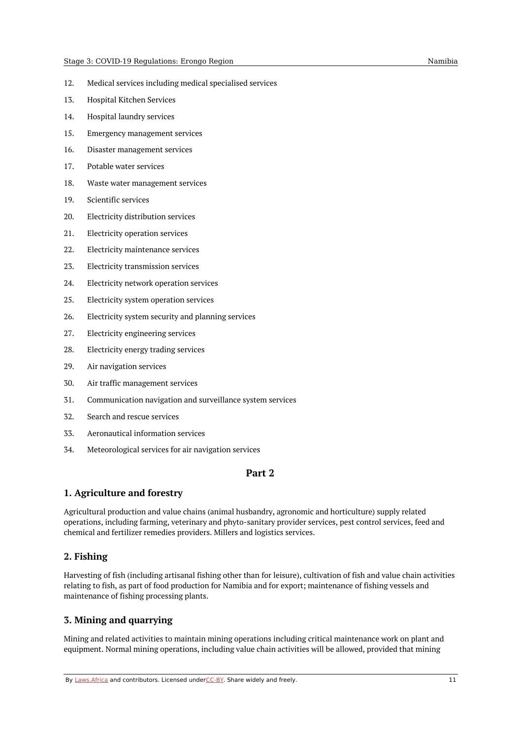- 12. Medical services including medical specialised services
- 13. Hospital Kitchen Services
- 14. Hospital laundry services
- 15. Emergency management services
- 16. Disaster management services
- 17. Potable water services
- 18. Waste water management services
- 19. Scientific services
- 20. Electricity distribution services
- 21. Electricity operation services
- 22. Electricity maintenance services
- 23. Electricity transmission services
- 24. Electricity network operation services
- 25. Electricity system operation services
- 26. Electricity system security and planning services
- 27. Electricity engineering services
- 28. Electricity energy trading services
- 29. Air navigation services
- 30. Air traffic management services
- 31. Communication navigation and surveillance system services
- 32. Search and rescue services
- 33. Aeronautical information services
- <span id="page-10-0"></span>34. Meteorological services for air navigation services

## **Part 2**

# <span id="page-10-1"></span>**1. Agriculture and forestry**

Agricultural production and value chains (animal husbandry, agronomic and horticulture) supply related operations, including farming, veterinary and phyto-sanitary provider services, pest control services, feed and chemical and fertilizer remedies providers. Millers and logistics services.

# <span id="page-10-2"></span>**2. Fishing**

Harvesting of fish (including artisanal fishing other than for leisure), cultivation of fish and value chain activities relating to fish, as part of food production for Namibia and for export; maintenance of fishing vessels and maintenance of fishing processing plants.

# <span id="page-10-3"></span>**3. Mining and quarrying**

Mining and related activities to maintain mining operations including critical maintenance work on plant and equipment. Normal mining operations, including value chain activities will be allowed, provided that mining

By [Laws.Africa](https://edit.laws.africa/widgets/pdf-attribution) and contributors. Licensed und[erCC-B](https://edit.laws.africa/widgets/pdf-cc-by)Y. Share widely and freely. 11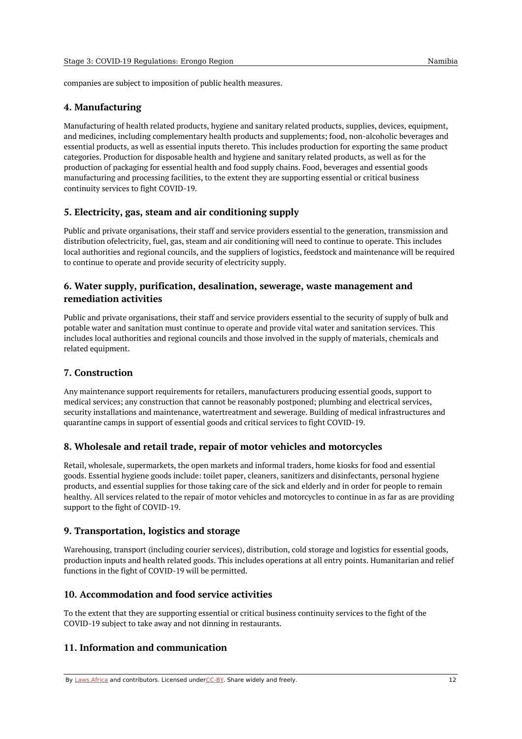companies are subject to imposition of public health measures.

## <span id="page-11-0"></span>**4. Manufacturing**

Manufacturing of health related products, hygiene and sanitary related products, supplies, devices, equipment, and medicines, including complementary health products and supplements; food, non-alcoholic beverages and essential products, as well as essential inputs thereto. This includes production for exporting the same product categories. Production for disposable health and hygiene and sanitary related products, as well as for the production of packaging for essential health and food supply chains. Food, beverages and essential goods manufacturing and processing facilities, to the extent they are supporting essential or critical business continuity services to fight COVID-19.

# <span id="page-11-1"></span>**5. Electricity, gas, steam and air conditioning supply**

Public and private organisations, their staff and service providers essential to the generation, transmission and distribution ofelectricity, fuel, gas, steam and air conditioning will need to continue to operate. This includes local authorities and regional councils, and the suppliers of logistics, feedstock and maintenance will be required to continue to operate and provide security of electricity supply.

# <span id="page-11-2"></span>**6. Water supply, purification, desalination, sewerage, waste management and remediation activities**

Public and private organisations, their staff and service providers essential to the security of supply of bulk and potable water and sanitation must continue to operate and provide vital water and sanitation services. This includes local authorities and regional councils and those involved in the supply of materials, chemicals and related equipment.

## <span id="page-11-3"></span>**7. Construction**

Any maintenance support requirements for retailers, manufacturers producing essential goods, support to medical services; any construction that cannot be reasonably postponed; plumbing and electrical services, security installations and maintenance, watertreatment and sewerage. Building of medical infrastructures and quarantine camps in support of essential goods and critical services to fight COVID-19.

## <span id="page-11-4"></span>**8. Wholesale and retail trade, repair of motor vehicles and motorcycles**

Retail, wholesale, supermarkets, the open markets and informal traders, home kiosks for food and essential goods. Essential hygiene goods include: toilet paper, cleaners, sanitizers and disinfectants, personal hygiene products, and essential supplies for those taking care of the sick and elderly and in order for people to remain healthy. All services related to the repair of motor vehicles and motorcycles to continue in as far as are providing support to the fight of COVID-19.

## <span id="page-11-5"></span>**9. Transportation, logistics and storage**

Warehousing, transport (including courier services), distribution, cold storage and logistics for essential goods, production inputs and health related goods. This includes operations at all entry points. Humanitarian and relief functions in the fight of COVID-19 will be permitted.

## <span id="page-11-6"></span>**10. Accommodation and food service activities**

To the extent that they are supporting essential or critical business continuity services to the fight of the COVID-19 subject to take away and not dinning in restaurants.

# <span id="page-11-7"></span>**11. Information and communication**

By [Laws.Africa](https://edit.laws.africa/widgets/pdf-attribution) and contributors. Licensed und[erCC-B](https://edit.laws.africa/widgets/pdf-cc-by)Y. Share widely and freely. 12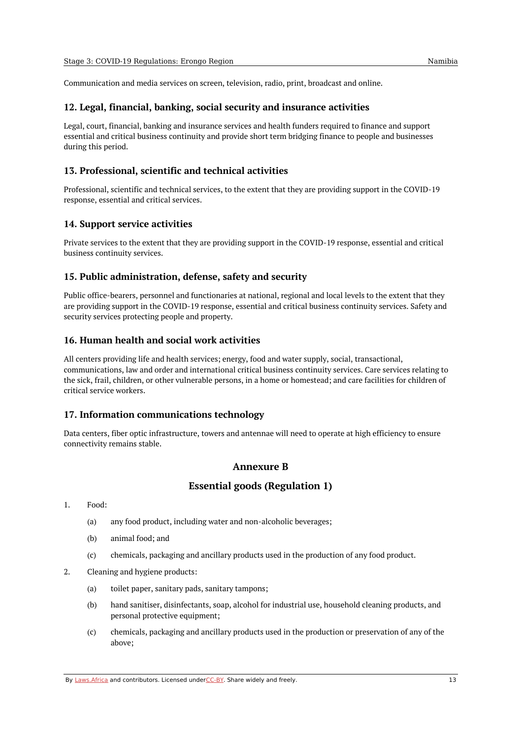Communication and media services on screen, television, radio, print, broadcast and online.

## <span id="page-12-0"></span>**12. Legal, financial, banking, social security and insurance activities**

Legal, court, financial, banking and insurance services and health funders required to finance and support essential and critical business continuity and provide short term bridging finance to people and businesses during this period.

# <span id="page-12-1"></span>**13. Professional, scientific and technical activities**

Professional, scientific and technical services, to the extent that they are providing support in the COVID-19 response, essential and critical services.

# <span id="page-12-2"></span>**14. Support service activities**

Private services to the extent that they are providing support in the COVID-19 response, essential and critical business continuity services.

## <span id="page-12-3"></span>**15. Public administration, defense, safety and security**

Public office-bearers, personnel and functionaries at national, regional and local levels to the extent that they are providing support in the COVID-19 response, essential and critical business continuity services. Safety and security services protecting people and property.

# <span id="page-12-4"></span>**16. Human health and social work activities**

All centers providing life and health services; energy, food and water supply, social, transactional, communications, law and order and international critical business continuity services. Care services relating to the sick, frail, children, or other vulnerable persons, in a home or homestead; and care facilities for children of critical service workers.

## <span id="page-12-5"></span>**17. Information communications technology**

<span id="page-12-6"></span>Data centers, fiber optic infrastructure, towers and antennae will need to operate at high efficiency to ensure connectivity remains stable.

# **Annexure B**

# **Essential goods (Regulation 1)**

- <span id="page-12-7"></span>1. Food:
	- (a) any food product, including water and non-alcoholic beverages;
	- (b) animal food; and
	- $(c)$ chemicals, packaging and ancillary products used in the production of any food product.
- 2. Cleaning and hygiene products:
	- (a) toilet paper, sanitary pads, sanitary tampons;
	- (b) hand sanitiser, disinfectants, soap, alcohol for industrial use, household cleaning products, and personal protective equipment;
	- (c) chemicals, packaging and ancillary products used in the production or preservation of any of the above;

By [Laws.Africa](https://edit.laws.africa/widgets/pdf-attribution) and contributors. Licensed und[erCC-B](https://edit.laws.africa/widgets/pdf-cc-by)Y. Share widely and freely. 13